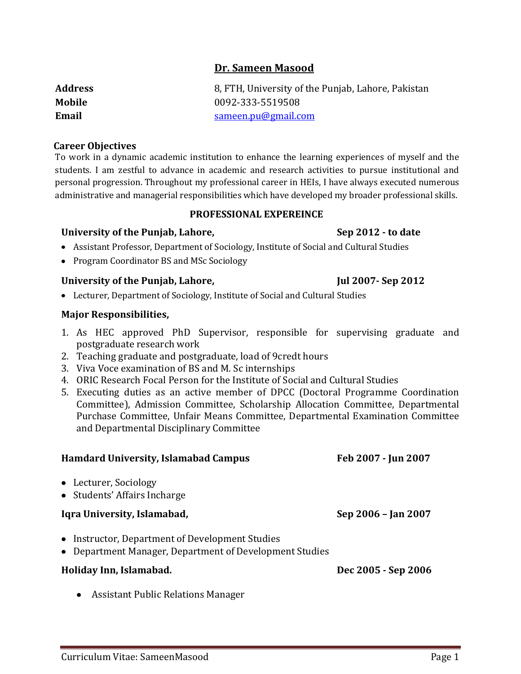# **Dr. Sameen Masood**

| Address | 8, FTH, University of the Punjab, Lahore, Pakistan |
|---------|----------------------------------------------------|
| Mobile  | 0092-333-5519508                                   |
| Email   | sameen.pu@gmail.com                                |

### **Career Objectives**

To work in a dynamic academic institution to enhance the learning experiences of myself and the students. I am zestful to advance in academic and research activities to pursue institutional and personal progression. Throughout my professional career in HEIs, I have always executed numerous administrative and managerial responsibilities which have developed my broader professional skills.

#### **PROFESSIONAL EXPEREINCE**

## **University of the Punjab, Lahore, Sep 2012 - to date**

- Assistant Professor, Department of Sociology, Institute of Social and Cultural Studies
- Program Coordinator BS and MSc Sociology

# University of the Punjab, Lahore, Jul 2007-Sep 2012

Lecturer, Department of Sociology, Institute of Social and Cultural Studies

## **Major Responsibilities,**

- 1. As HEC approved PhD Supervisor, responsible for supervising graduate and postgraduate research work
- 2. Teaching graduate and postgraduate, load of 9credt hours
- 3. Viva Voce examination of BS and M. Sc internships
- 4. ORIC Research Focal Person for the Institute of Social and Cultural Studies
- 5. Executing duties as an active member of DPCC (Doctoral Programme Coordination Committee), Admission Committee, Scholarship Allocation Committee, Departmental Purchase Committee, Unfair Means Committee, Departmental Examination Committee and Departmental Disciplinary Committee

| <b>Hamdard University, Islamabad Campus</b>                                                                | Feb 2007 - Jun 2007 |
|------------------------------------------------------------------------------------------------------------|---------------------|
| • Lecturer, Sociology<br>• Students' Affairs Incharge                                                      |                     |
| Iqra University, Islamabad,                                                                                | Sep 2006 - Jan 2007 |
| • Instructor, Department of Development Studies<br>• Department Manager, Department of Development Studies |                     |
| Holiday Inn, Islamabad.                                                                                    | Dec 2005 - Sep 2006 |
| $\lambda$ . $\lambda$ . $\lambda$ . $\lambda$ . $\lambda$ . $\lambda$ . $\lambda$                          |                     |

Assistant Public Relations Manager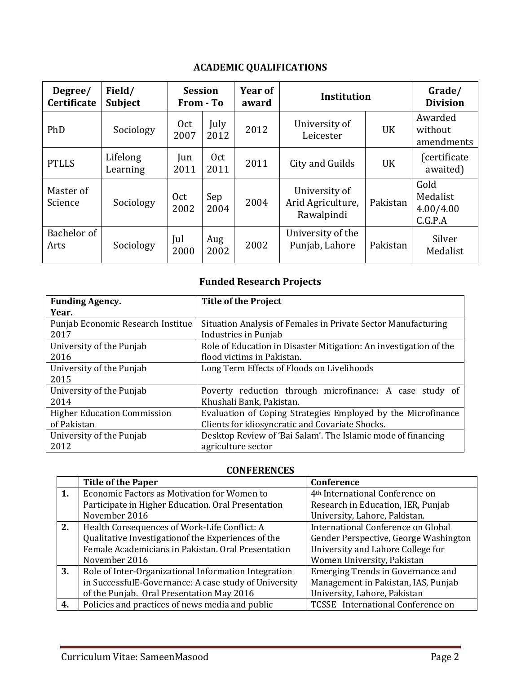# **ACADEMIC QUALIFICATIONS**

| Degree/<br>Certificate | Field/<br><b>Subject</b> | <b>Session</b><br>From - To |              | Year of<br>award | <b>Institution</b>                               |           | Grade/<br><b>Division</b>                |
|------------------------|--------------------------|-----------------------------|--------------|------------------|--------------------------------------------------|-----------|------------------------------------------|
| PhD                    | Sociology                | 0 <sub>ct</sub><br>2007     | July<br>2012 | 2012             | University of<br>Leicester                       | <b>UK</b> | Awarded<br>without<br>amendments         |
| <b>PTLLS</b>           | Lifelong<br>Learning     | Jun<br>2011                 | Oct<br>2011  | 2011             | City and Guilds                                  | UK        | (certificate<br>awaited)                 |
| Master of<br>Science   | Sociology                | Oct<br>2002                 | Sep<br>2004  | 2004             | University of<br>Arid Agriculture,<br>Rawalpindi | Pakistan  | Gold<br>Medalist<br>4.00/4.00<br>C.G.P.A |
| Bachelor of<br>Arts    | Sociology                | Jul<br>2000                 | Aug<br>2002  | 2002             | University of the<br>Punjab, Lahore              | Pakistan  | Silver<br>Medalist                       |

# **Funded Research Projects**

| <b>Funding Agency.</b>             | <b>Title of the Project</b>                                       |
|------------------------------------|-------------------------------------------------------------------|
| Year.                              |                                                                   |
| Punjab Economic Research Institue  | Situation Analysis of Females in Private Sector Manufacturing     |
| 2017                               | Industries in Punjab                                              |
| University of the Punjab           | Role of Education in Disaster Mitigation: An investigation of the |
| 2016                               | flood victims in Pakistan.                                        |
| University of the Punjab           | Long Term Effects of Floods on Livelihoods                        |
| 2015                               |                                                                   |
| University of the Punjab           | Poverty reduction through microfinance: A case study of           |
| 2014                               | Khushali Bank, Pakistan.                                          |
| <b>Higher Education Commission</b> | Evaluation of Coping Strategies Employed by the Microfinance      |
| of Pakistan                        | Clients for idiosyncratic and Covariate Shocks.                   |
| University of the Punjab           | Desktop Review of 'Bai Salam'. The Islamic mode of financing      |
| 2012                               | agriculture sector                                                |

# **CONFERENCES**

|    | <b>Title of the Paper</b>                             | Conference                                  |  |  |  |
|----|-------------------------------------------------------|---------------------------------------------|--|--|--|
| 1. | Economic Factors as Motivation for Women to           | 4 <sup>th</sup> International Conference on |  |  |  |
|    | Participate in Higher Education. Oral Presentation    | Research in Education, IER, Punjab          |  |  |  |
|    | November 2016                                         | University, Lahore, Pakistan.               |  |  |  |
| 2. | Health Consequences of Work-Life Conflict: A          | International Conference on Global          |  |  |  |
|    | Qualitative Investigation of the Experiences of the   | Gender Perspective, George Washington       |  |  |  |
|    | Female Academicians in Pakistan. Oral Presentation    | University and Lahore College for           |  |  |  |
|    | November 2016                                         | Women University, Pakistan                  |  |  |  |
| 3. | Role of Inter-Organizational Information Integration  | Emerging Trends in Governance and           |  |  |  |
|    | in SuccessfulE-Governance: A case study of University | Management in Pakistan, IAS, Punjab         |  |  |  |
|    | of the Punjab. Oral Presentation May 2016             | University, Lahore, Pakistan                |  |  |  |
| 4. | Policies and practices of news media and public       | TCSSE International Conference on           |  |  |  |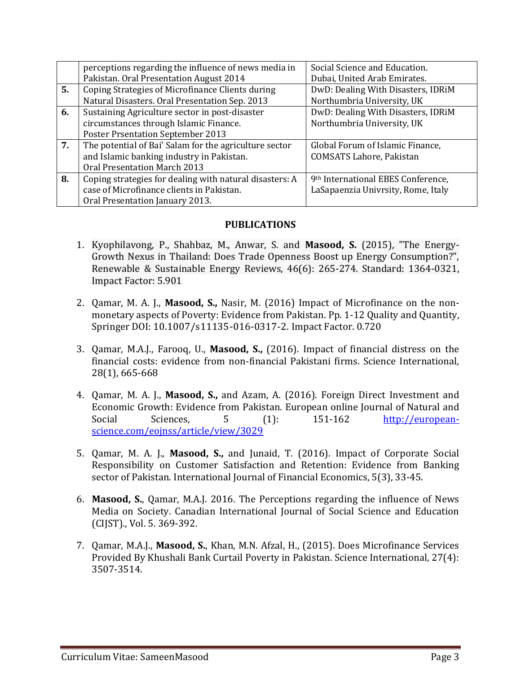|    | perceptions regarding the influence of news media in    | Social Science and Education.      |
|----|---------------------------------------------------------|------------------------------------|
|    | Pakistan. Oral Presentation August 2014                 | Dubai, United Arab Emirates.       |
| 5. | Coping Strategies of Microfinance Clients during        | DwD: Dealing With Disasters, IDRiM |
|    | Natural Disasters. Oral Presentation Sep. 2013          | Northumbria University, UK         |
| 6. | Sustaining Agriculture sector in post-disaster          | DwD: Dealing With Disasters, IDRiM |
|    | circumstances through Islamic Finance.                  | Northumbria University, UK         |
|    | <b>Poster Prsentation September 2013</b>                |                                    |
| 7. | The potential of Bai' Salam for the agriculture sector  | Global Forum of Islamic Finance,   |
|    | and Islamic banking industry in Pakistan.               | <b>COMSATS Lahore, Pakistan</b>    |
|    | Oral Presentation March 2013                            |                                    |
| 8. | Coping strategies for dealing with natural disasters: A | 9th International EBES Conference, |
|    | case of Microfinance clients in Pakistan.               | LaSapaenzia Univrsity, Rome, Italy |
|    | Oral Presentation January 2013.                         |                                    |

## **PUBLICATIONS**

- 1. Kyophilavong, P., Shahbaz, M., Anwar, S. and **Masood, S.** (2015), "The Energy-Growth Nexus in Thailand: Does Trade Openness Boost up Energy Consumption?", Renewable & Sustainable Energy Reviews, 46(6): 265-274. Standard: 1364-0321, Impact Factor: 5.901
- 2. Qamar, M. A. J., **Masood, S.,** Nasir, M. (2016) Impact of Microfinance on the nonmonetary aspects of Poverty: Evidence from Pakistan. Pp. 1-12 Quality and Quantity, Springer DOI: 10.1007/s11135-016-0317-2. Impact Factor. 0.720
- 3. Qamar, M.A.J., Farooq, U., **Masood, S.,** (2016). Impact of financial distress on the financial costs: evidence from non-financial Pakistani firms. Science International, 28(1), 665-668
- 4. Qamar, M. A. J., **Masood, S.,** and Azam, A. (2016). [Foreign Direct Investment and](http://european-science.com/eojnss/article/view/3029)  [Economic Growth: Evidence from Pakistan.](http://european-science.com/eojnss/article/view/3029) European online Journal of Natural and Social Sciences, 5 (1): 151-162 [http://european](http://european-science.com/eojnss/article/view/3029)[science.com/eojnss/article/view/3029](http://european-science.com/eojnss/article/view/3029)
- 5. Qamar, M. A. J., **Masood, S.,** and Junaid, T. (2016). Impact of Corporate Social Responsibility on Customer Satisfaction and Retention: Evidence from Banking sector of Pakistan. International Journal of Financial Economics, 5(3), 33-45.
- 6. **Masood, S.**, Qamar, M.A.J. 2016. The Perceptions regarding the influence of News Media on Society. Canadian International Journal of Social Science and Education (CIJST)., Vol. 5. 369-392.
- 7. Qamar, M.A.J., **Masood, S.**, Khan, M.N. Afzal, H., (2015). Does Microfinance Services Provided By Khushali Bank Curtail Poverty in Pakistan. Science International, 27(4): 3507-3514.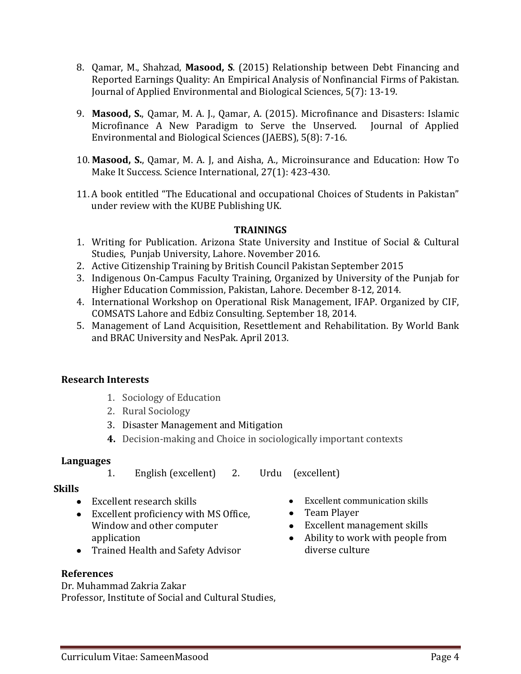- 8. Qamar, M., Shahzad, **Masood, S**. (2015) Relationship between Debt Financing and Reported Earnings Quality: An Empirical Analysis of Nonfinancial Firms of Pakistan. Journal of Applied Environmental and Biological Sciences, 5(7): 13-19.
- 9. **Masood, S.**, Qamar, M. A. J., Qamar, A. (2015). Microfinance and Disasters: Islamic Microfinance A New Paradigm to Serve the Unserved. Journal of Applied Environmental and Biological Sciences (JAEBS), 5(8): 7-16.
- 10. **Masood, S.**, Qamar, M. A. J, and Aisha, A., Microinsurance and Education: How To Make It Success. Science International, 27(1): 423-430.
- 11. A book entitled "The Educational and occupational Choices of Students in Pakistan" under review with the KUBE Publishing UK.

## **TRAININGS**

- 1. Writing for Publication. Arizona State University and Institue of Social & Cultural Studies, Punjab University, Lahore. November 2016.
- 2. Active Citizenship Training by British Council Pakistan September 2015
- 3. Indigenous On-Campus Faculty Training, Organized by University of the Punjab for Higher Education Commission, Pakistan, Lahore. December 8-12, 2014.
- 4. International Workshop on Operational Risk Management, IFAP. Organized by CIF, COMSATS Lahore and Edbiz Consulting. September 18, 2014.
- 5. Management of Land Acquisition, Resettlement and Rehabilitation. By World Bank and BRAC University and NesPak. April 2013.

# **Research Interests**

- 1. Sociology of Education
- 2. Rural Sociology
- 3. Disaster Management and Mitigation
- **4.** Decision-making and Choice in sociologically important contexts

# **Languages**

1. English (excellent) 2. Urdu (excellent)

## **Skills**

- Excellent research skills
- Excellent proficiency with MS Office, Window and other computer application
- Trained Health and Safety Advisor

# **References**

Dr. Muhammad Zakria Zakar Professor, Institute of Social and Cultural Studies,

- $\bullet$ Excellent communication skills
- Team Player
- Excellent management skills
- Ability to work with people from diverse culture